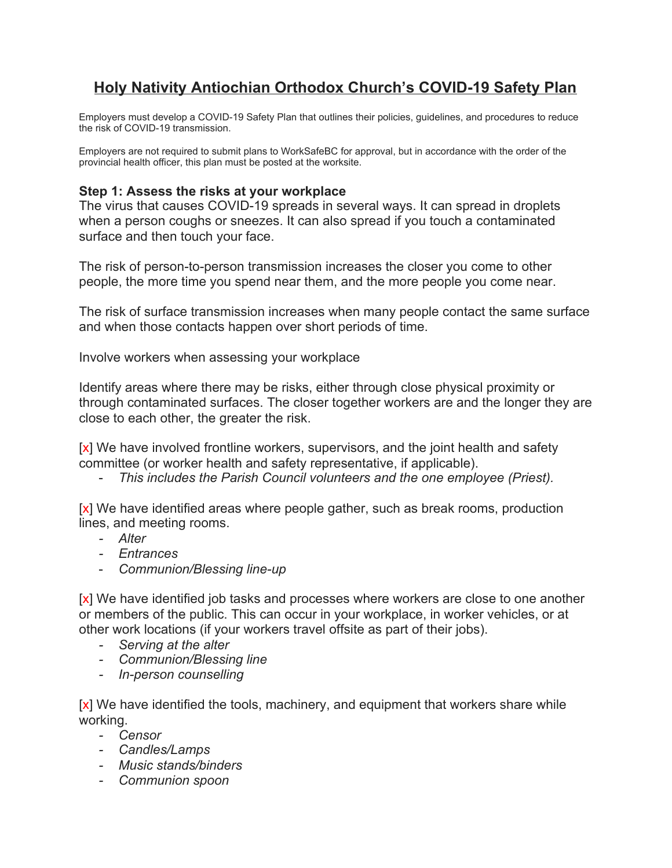# **Holy Nativity Antiochian Orthodox Church's COVID-19 Safety Plan**

Employers must develop a COVID-19 Safety Plan that outlines their policies, guidelines, and procedures to reduce the risk of COVID-19 transmission.

Employers are not required to submit plans to WorkSafeBC for approval, but in accordance with the order of the provincial health officer, this plan must be posted at the worksite.

#### **Step 1: Assess the risks at your workplace**

The virus that causes COVID-19 spreads in several ways. It can spread in droplets when a person coughs or sneezes. It can also spread if you touch a contaminated surface and then touch your face.

The risk of person-to-person transmission increases the closer you come to other people, the more time you spend near them, and the more people you come near.

The risk of surface transmission increases when many people contact the same surface and when those contacts happen over short periods of time.

Involve workers when assessing your workplace

Identify areas where there may be risks, either through close physical proximity or through contaminated surfaces. The closer together workers are and the longer they are close to each other, the greater the risk.

[x] We have involved frontline workers, supervisors, and the joint health and safety committee (or worker health and safety representative, if applicable).

- *This includes the Parish Council volunteers and the one employee (Priest).*

[x] We have identified areas where people gather, such as break rooms, production lines, and meeting rooms.

- *- Alter*
- *- Entrances*
- *Communion/Blessing line-up*

[x] We have identified job tasks and processes where workers are close to one another or members of the public. This can occur in your workplace, in worker vehicles, or at other work locations (if your workers travel offsite as part of their jobs).

- *- Serving at the alter*
- *- Communion/Blessing line*
- *- In-person counselling*

[x] We have identified the tools, machinery, and equipment that workers share while working.

- *- Censor*
- *- Candles/Lamps*
- *- Music stands/binders*
- *- Communion spoon*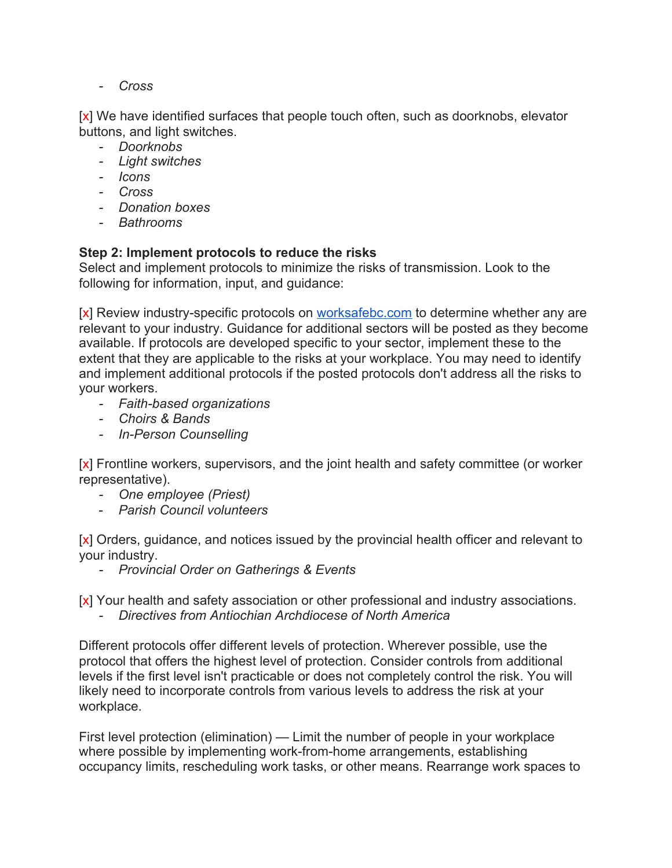*- Cross*

[x] We have identified surfaces that people touch often, such as doorknobs, elevator buttons, and light switches.

- *- Doorknobs*
- *- Light switches*
- *- Icons*
- *- Cross*
- *- Donation boxes*
- *- Bathrooms*

### **Step 2: Implement protocols to reduce the risks**

Select and implement protocols to minimize the risks of transmission. Look to the following for information, input, and guidance:

[x] Review industry-specific protocols on [worksafebc.com](http://worksafebc.com/) to determine whether any are relevant to your industry. Guidance for additional sectors will be posted as they become available. If protocols are developed specific to your sector, implement these to the extent that they are applicable to the risks at your workplace. You may need to identify and implement additional protocols if the posted protocols don't address all the risks to your workers.

- *- Faith-based organizations*
- *- Choirs & Bands*
- *- In-Person Counselling*

[x] Frontline workers, supervisors, and the joint health and safety committee (or worker representative).

- *- One employee (Priest)*
- *Parish Council volunteers*

[x] Orders, guidance, and notices issued by the provincial health officer and relevant to your industry.

*- Provincial Order on Gatherings & Events*

[x] Your health and safety association or other professional and industry associations.

*- Directives from Antiochian Archdiocese of North America*

Different protocols offer different levels of protection. Wherever possible, use the protocol that offers the highest level of protection. Consider controls from additional levels if the first level isn't practicable or does not completely control the risk. You will likely need to incorporate controls from various levels to address the risk at your workplace.

First level protection (elimination) — Limit the number of people in your workplace where possible by implementing work-from-home arrangements, establishing occupancy limits, rescheduling work tasks, or other means. Rearrange work spaces to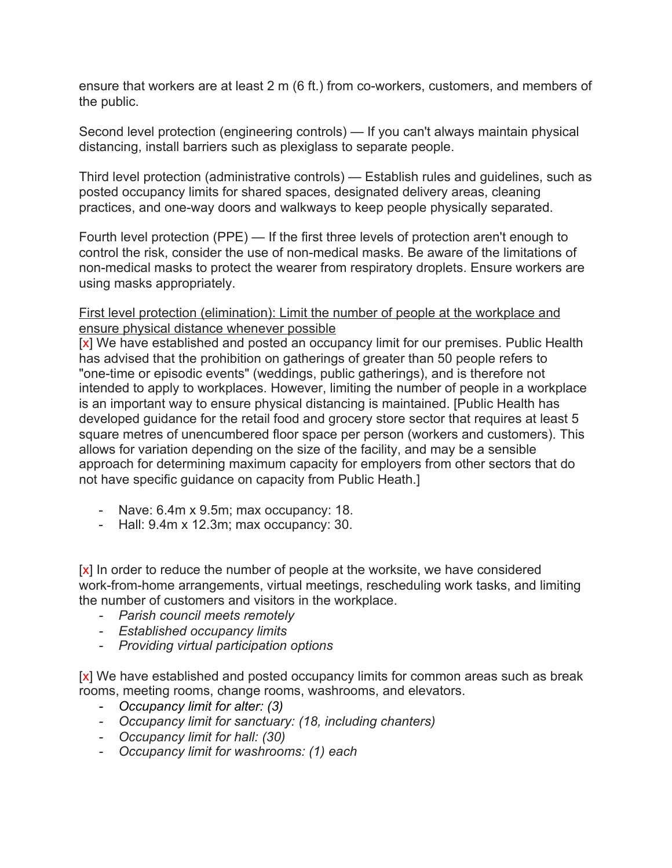ensure that workers are at least 2 m (6 ft.) from co-workers, customers, and members of the public.

Second level protection (engineering controls) — If you can't always maintain physical distancing, install barriers such as plexiglass to separate people.

Third level protection (administrative controls) — Establish rules and guidelines, such as posted occupancy limits for shared spaces, designated delivery areas, cleaning practices, and one-way doors and walkways to keep people physically separated.

Fourth level protection (PPE) — If the first three levels of protection aren't enough to control the risk, consider the use of non-medical masks. Be aware of the limitations of non-medical masks to protect the wearer from respiratory droplets. Ensure workers are using masks appropriately.

First level protection (elimination): Limit the number of people at the workplace and ensure physical distance whenever possible

[x] We have established and posted an occupancy limit for our premises. Public Health has advised that the prohibition on gatherings of greater than 50 people refers to "one-time or episodic events" (weddings, public gatherings), and is therefore not intended to apply to workplaces. However, limiting the number of people in a workplace is an important way to ensure physical distancing is maintained. [Public Health has developed guidance for the retail food and grocery store sector that requires at least 5 square metres of unencumbered floor space per person (workers and customers). This allows for variation depending on the size of the facility, and may be a sensible approach for determining maximum capacity for employers from other sectors that do not have specific guidance on capacity from Public Heath.]

- Nave: 6.4m x 9.5m; max occupancy: 18.
- Hall: 9.4m x 12.3m; max occupancy: 30.

[x] In order to reduce the number of people at the worksite, we have considered work-from-home arrangements, virtual meetings, rescheduling work tasks, and limiting the number of customers and visitors in the workplace.

- *- Parish council meets remotely*
- *- Established occupancy limits*
- *- Providing virtual participation options*

[x] We have established and posted occupancy limits for common areas such as break rooms, meeting rooms, change rooms, washrooms, and elevators.

- *- Occupancy limit for alter: (3)*
- *- Occupancy limit for sanctuary: (18, including chanters)*
- *- Occupancy limit for hall: (30)*
- *- Occupancy limit for washrooms: (1) each*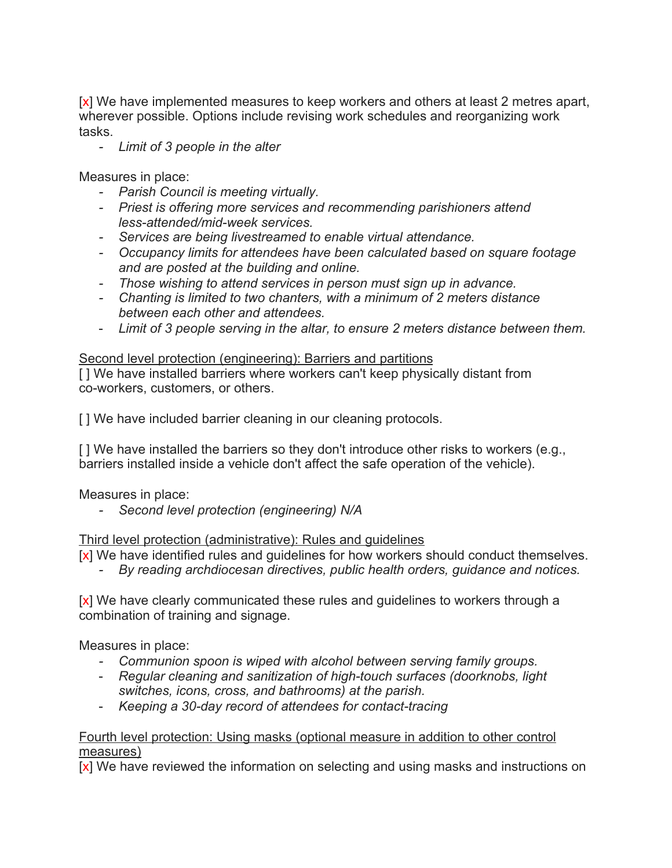[x] We have implemented measures to keep workers and others at least 2 metres apart, wherever possible. Options include revising work schedules and reorganizing work tasks.

*- Limit of 3 people in the alter*

Measures in place:

- *- Parish Council is meeting virtually.*
- *- Priest is offering more services and recommending parishioners attend less-attended/mid-week services.*
- *- Services are being livestreamed to enable virtual attendance.*
- *- Occupancy limits for attendees have been calculated based on square footage and are posted at the building and online.*
- *- Those wishing to attend services in person must sign up in advance.*
- *- Chanting is limited to two chanters, with a minimum of 2 meters distance between each other and attendees.*
- *Limit of 3 people serving in the altar, to ensure 2 meters distance between them.*

#### Second level protection (engineering): Barriers and partitions

[] We have installed barriers where workers can't keep physically distant from co-workers, customers, or others.

[ ] We have included barrier cleaning in our cleaning protocols.

[ ] We have installed the barriers so they don't introduce other risks to workers (e.g., barriers installed inside a vehicle don't affect the safe operation of the vehicle).

Measures in place:

*- Second level protection (engineering) N/A*

#### Third level protection (administrative): Rules and guidelines

[x] We have identified rules and guidelines for how workers should conduct themselves.

*- By reading archdiocesan directives, public health orders, guidance and notices.*

[x] We have clearly communicated these rules and quidelines to workers through a combination of training and signage.

Measures in place:

- *- Communion spoon is wiped with alcohol between serving family groups.*
- *Regular cleaning and sanitization of high-touch surfaces (doorknobs, light switches, icons, cross, and bathrooms) at the parish.*
- *Keeping a 30-day record of attendees for contact-tracing*

#### Fourth level protection: Using masks (optional measure in addition to other control measures)

[x] We have reviewed the information on selecting and using masks and instructions on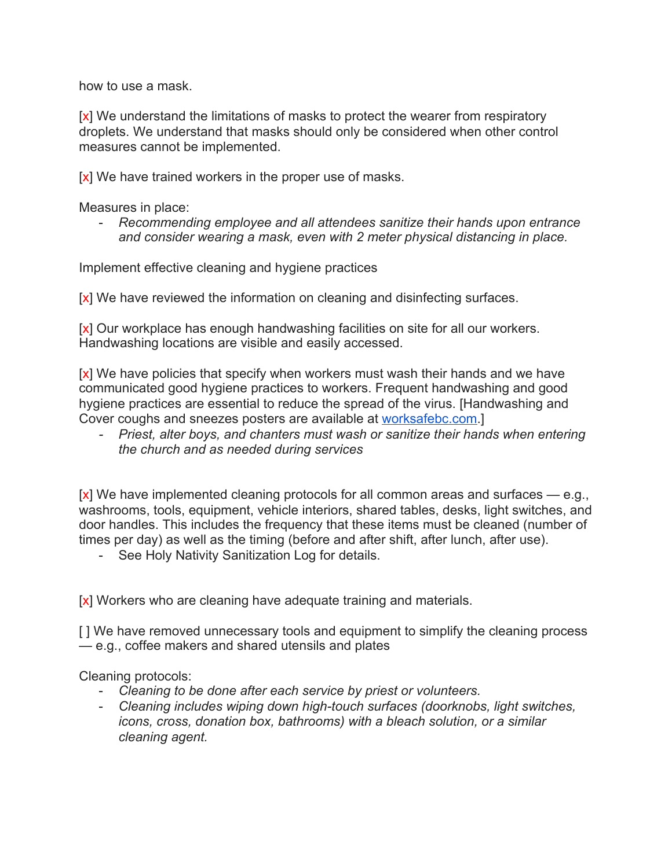how to use a mask.

[x] We understand the limitations of masks to protect the wearer from respiratory droplets. We understand that masks should only be considered when other control measures cannot be implemented.

 $[x]$  We have trained workers in the proper use of masks.

Measures in place:

- *Recommending employee and all attendees sanitize their hands upon entrance and consider wearing a mask, even with 2 meter physical distancing in place.*

Implement effective cleaning and hygiene practices

[x] We have reviewed the information on cleaning and disinfecting surfaces.

[x] Our workplace has enough handwashing facilities on site for all our workers. Handwashing locations are visible and easily accessed.

[x] We have policies that specify when workers must wash their hands and we have communicated good hygiene practices to workers. Frequent handwashing and good hygiene practices are essential to reduce the spread of the virus. [Handwashing and Cover coughs and sneezes posters are available at [worksafebc.com.](http://worksafebc.com/)]

*- Priest, alter boys, and chanters must wash or sanitize their hands when entering the church and as needed during services*

[x] We have implemented cleaning protocols for all common areas and surfaces — e.g., washrooms, tools, equipment, vehicle interiors, shared tables, desks, light switches, and door handles. This includes the frequency that these items must be cleaned (number of times per day) as well as the timing (before and after shift, after lunch, after use).

- See Holy Nativity Sanitization Log for details.

[x] Workers who are cleaning have adequate training and materials.

[ ] We have removed unnecessary tools and equipment to simplify the cleaning process — e.g., coffee makers and shared utensils and plates

Cleaning protocols:

- *Cleaning to be done after each service by priest or volunteers.*
- *Cleaning includes wiping down high-touch surfaces (doorknobs, light switches, icons, cross, donation box, bathrooms) with a bleach solution, or a similar cleaning agent.*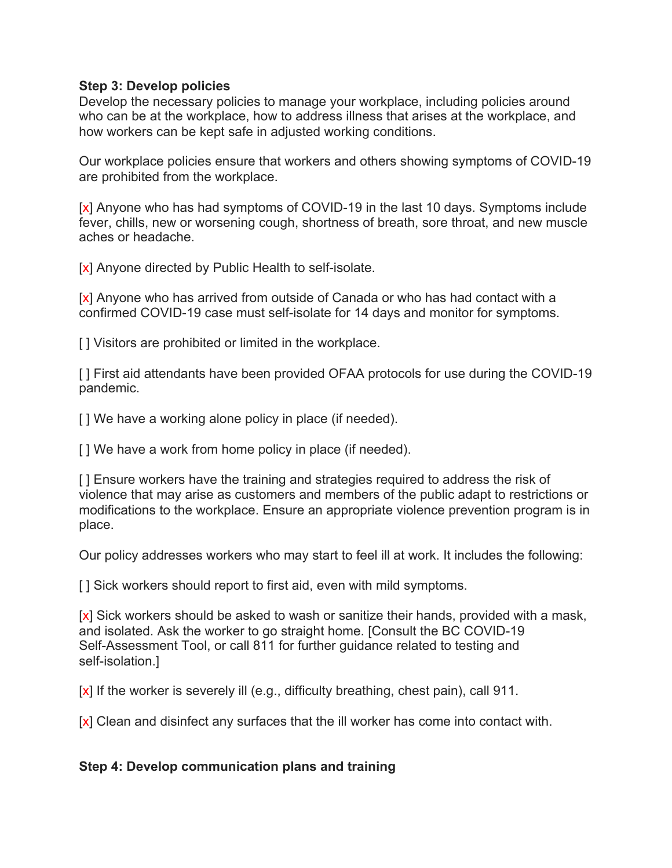#### **Step 3: Develop policies**

Develop the necessary policies to manage your workplace, including policies around who can be at the workplace, how to address illness that arises at the workplace, and how workers can be kept safe in adjusted working conditions.

Our workplace policies ensure that workers and others showing symptoms of COVID-19 are prohibited from the workplace.

[x] Anyone who has had symptoms of COVID-19 in the last 10 days. Symptoms include fever, chills, new or worsening cough, shortness of breath, sore throat, and new muscle aches or headache.

[x] Anyone directed by Public Health to self-isolate.

[x] Anyone who has arrived from outside of Canada or who has had contact with a confirmed COVID-19 case must self-isolate for 14 days and monitor for symptoms.

[] Visitors are prohibited or limited in the workplace.

[] First aid attendants have been provided OFAA protocols for use during the COVID-19 pandemic.

[ ] We have a working alone policy in place (if needed).

[] We have a work from home policy in place (if needed).

[ ] Ensure workers have the training and strategies required to address the risk of violence that may arise as customers and members of the public adapt to restrictions or modifications to the workplace. Ensure an appropriate violence prevention program is in place.

Our policy addresses workers who may start to feel ill at work. It includes the following:

[ ] Sick workers should report to first aid, even with mild symptoms.

[x] Sick workers should be asked to wash or sanitize their hands, provided with a mask, and isolated. Ask the worker to go straight home. [Consult the BC COVID-19 Self-Assessment Tool, or call 811 for further guidance related to testing and self-isolation.]

[x] If the worker is severely ill (e.g., difficulty breathing, chest pain), call 911.

[x] Clean and disinfect any surfaces that the ill worker has come into contact with.

## **Step 4: Develop communication plans and training**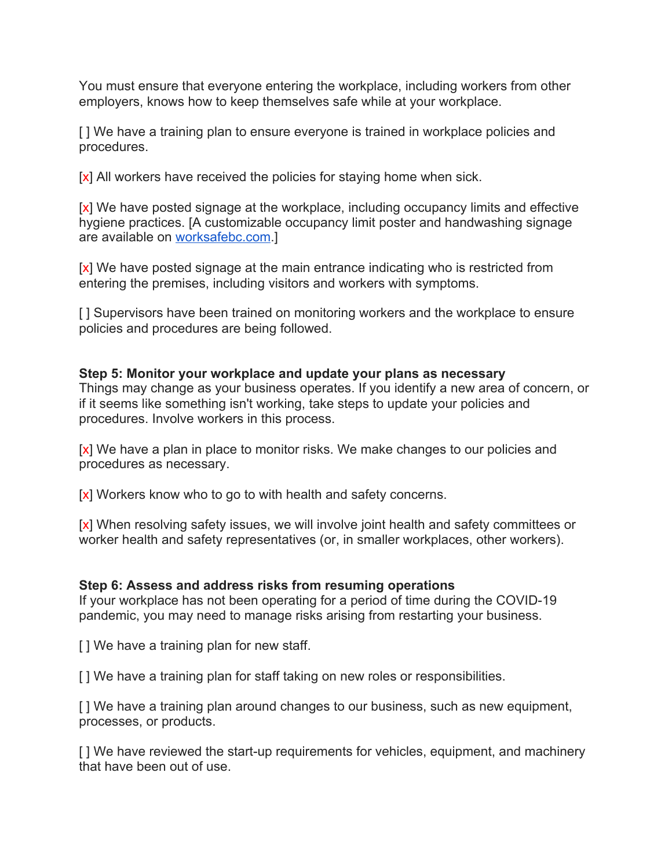You must ensure that everyone entering the workplace, including workers from other employers, knows how to keep themselves safe while at your workplace.

[] We have a training plan to ensure everyone is trained in workplace policies and procedures.

[x] All workers have received the policies for staying home when sick.

[x] We have posted signage at the workplace, including occupancy limits and effective hygiene practices. [A customizable occupancy limit poster and handwashing signage are available on [worksafebc.com.](http://worksafebc.com/)]

[x] We have posted signage at the main entrance indicating who is restricted from entering the premises, including visitors and workers with symptoms.

[] Supervisors have been trained on monitoring workers and the workplace to ensure policies and procedures are being followed.

## **Step 5: Monitor your workplace and update your plans as necessary**

Things may change as your business operates. If you identify a new area of concern, or if it seems like something isn't working, take steps to update your policies and procedures. Involve workers in this process.

[x] We have a plan in place to monitor risks. We make changes to our policies and procedures as necessary.

[x] Workers know who to go to with health and safety concerns.

[x] When resolving safety issues, we will involve joint health and safety committees or worker health and safety representatives (or, in smaller workplaces, other workers).

## **Step 6: Assess and address risks from resuming operations**

If your workplace has not been operating for a period of time during the COVID-19 pandemic, you may need to manage risks arising from restarting your business.

[ ] We have a training plan for new staff.

[] We have a training plan for staff taking on new roles or responsibilities.

[ ] We have a training plan around changes to our business, such as new equipment, processes, or products.

[ ] We have reviewed the start-up requirements for vehicles, equipment, and machinery that have been out of use.